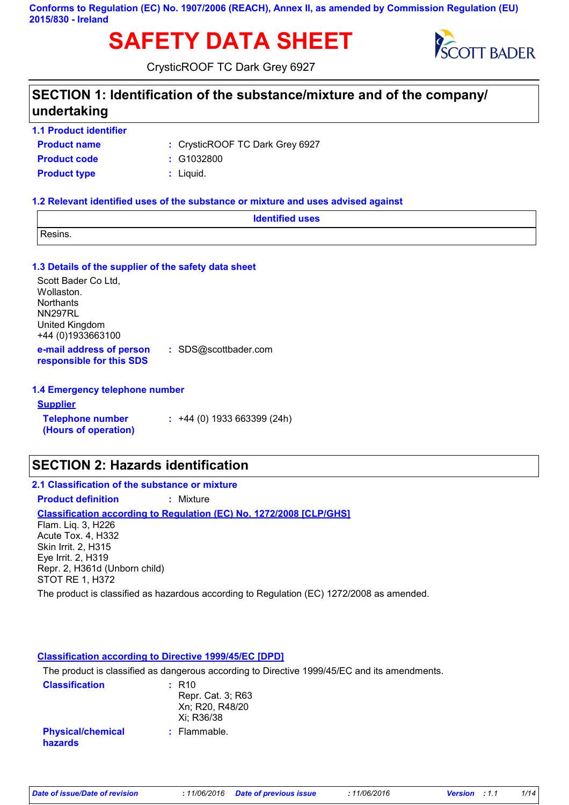**Conforms to Regulation (EC) No. 1907/2006 (REACH), Annex II, as amended by Commission Regulation (EU) 2015/830 - Ireland**

# **SAFETY DATA SHEET** SCOTT BADER



CrysticROOF TC Dark Grey 6927

### **SECTION 1: Identification of the substance/mixture and of the company/ undertaking**

**1.1 Product identifier**

| <b>Product name</b> | : CrysticROOF TC Dark Grey 6927 |
|---------------------|---------------------------------|
| <b>Product code</b> | :  G1032800                     |
| <b>Product type</b> | : Liquid.                       |

#### **1.2 Relevant identified uses of the substance or mixture and uses advised against**

| <b>Identified uses</b> |  |
|------------------------|--|
| Resins.                |  |

#### **1.3 Details of the supplier of the safety data sheet**

**e-mail address of person responsible for this SDS :** SDS@scottbader.com Scott Bader Co Ltd, Wollaston. **Northants** NN297RL United Kingdom +44 (0)1933663100

#### **1.4 Emergency telephone number**

#### **Supplier**

**Telephone number (Hours of operation) :** +44 (0) 1933 663399 (24h)

### **SECTION 2: Hazards identification**

**2.1 Classification of the substance or mixture Product definition :** Mixture

#### **Classification according to Regulation (EC) No. 1272/2008 [CLP/GHS]**

Flam. Liq. 3, H226 Acute Tox. 4, H332 Skin Irrit. 2, H315 Eye Irrit. 2, H319 Repr. 2, H361d (Unborn child) STOT RE 1, H372

The product is classified as hazardous according to Regulation (EC) 1272/2008 as amended.

#### **Classification according to Directive 1999/45/EC [DPD]**

The product is classified as dangerous according to Directive 1999/45/EC and its amendments.

| <b>Classification</b>               | $:$ R <sub>10</sub> |
|-------------------------------------|---------------------|
|                                     | Repr. Cat. 3; R63   |
|                                     | Xn; R20, R48/20     |
|                                     | Xi: R36/38          |
| <b>Physical/chemical</b><br>hazards | $:$ Flammable.      |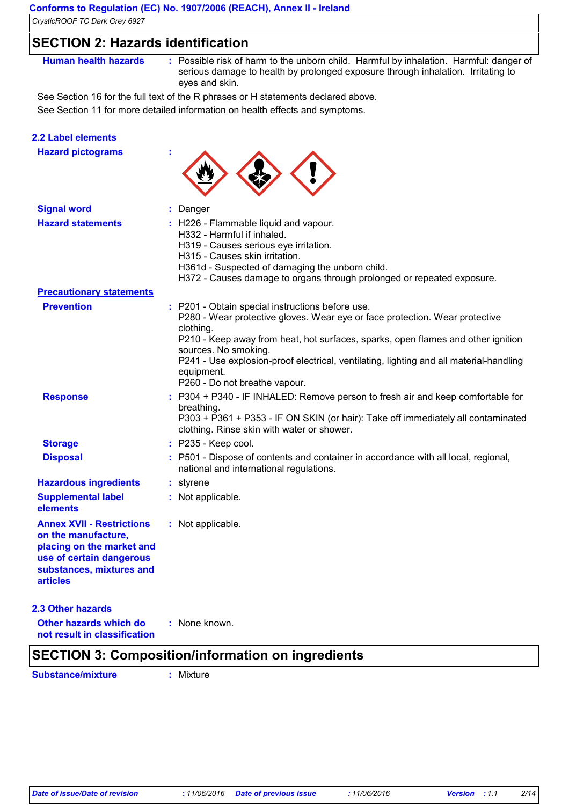### **SECTION 2: Hazards identification**

**Human health hazards :** Possible risk of harm to the unborn child. Harmful by inhalation. Harmful: danger of serious damage to health by prolonged exposure through inhalation. Irritating to eyes and skin.

See Section 16 for the full text of the R phrases or H statements declared above.

See Section 11 for more detailed information on health effects and symptoms.

### **2.2 Label elements**

| <b>Hazard pictograms</b>                                                                                                                                        |                                                                                                                                                                                                                                                                                                                                                                                                   |
|-----------------------------------------------------------------------------------------------------------------------------------------------------------------|---------------------------------------------------------------------------------------------------------------------------------------------------------------------------------------------------------------------------------------------------------------------------------------------------------------------------------------------------------------------------------------------------|
| <b>Signal word</b>                                                                                                                                              | : Danger                                                                                                                                                                                                                                                                                                                                                                                          |
| <b>Hazard statements</b>                                                                                                                                        | : H226 - Flammable liquid and vapour.<br>H332 - Harmful if inhaled.<br>H319 - Causes serious eye irritation.<br>H315 - Causes skin irritation.<br>H361d - Suspected of damaging the unborn child.<br>H372 - Causes damage to organs through prolonged or repeated exposure.                                                                                                                       |
| <b>Precautionary statements</b>                                                                                                                                 |                                                                                                                                                                                                                                                                                                                                                                                                   |
| <b>Prevention</b>                                                                                                                                               | : P201 - Obtain special instructions before use.<br>P280 - Wear protective gloves. Wear eye or face protection. Wear protective<br>clothing.<br>P210 - Keep away from heat, hot surfaces, sparks, open flames and other ignition<br>sources. No smoking.<br>P241 - Use explosion-proof electrical, ventilating, lighting and all material-handling<br>equipment.<br>P260 - Do not breathe vapour. |
| <b>Response</b>                                                                                                                                                 | : P304 + P340 - IF INHALED: Remove person to fresh air and keep comfortable for<br>breathing.<br>P303 + P361 + P353 - IF ON SKIN (or hair): Take off immediately all contaminated<br>clothing. Rinse skin with water or shower.                                                                                                                                                                   |
| <b>Storage</b>                                                                                                                                                  | : P235 - Keep cool.                                                                                                                                                                                                                                                                                                                                                                               |
| <b>Disposal</b>                                                                                                                                                 | : P501 - Dispose of contents and container in accordance with all local, regional,<br>national and international regulations.                                                                                                                                                                                                                                                                     |
| <b>Hazardous ingredients</b>                                                                                                                                    | : styrene                                                                                                                                                                                                                                                                                                                                                                                         |
| <b>Supplemental label</b><br>elements                                                                                                                           | : Not applicable.                                                                                                                                                                                                                                                                                                                                                                                 |
| <b>Annex XVII - Restrictions</b><br>on the manufacture,<br>placing on the market and<br>use of certain dangerous<br>substances, mixtures and<br><b>articles</b> | : Not applicable.                                                                                                                                                                                                                                                                                                                                                                                 |
| <b>2.3 Other hazards</b>                                                                                                                                        |                                                                                                                                                                                                                                                                                                                                                                                                   |
| Other hazards which do                                                                                                                                          | : None known.                                                                                                                                                                                                                                                                                                                                                                                     |

**not result in classification**

### **SECTION 3: Composition/information on ingredients**

**Substance/mixture :** Mixture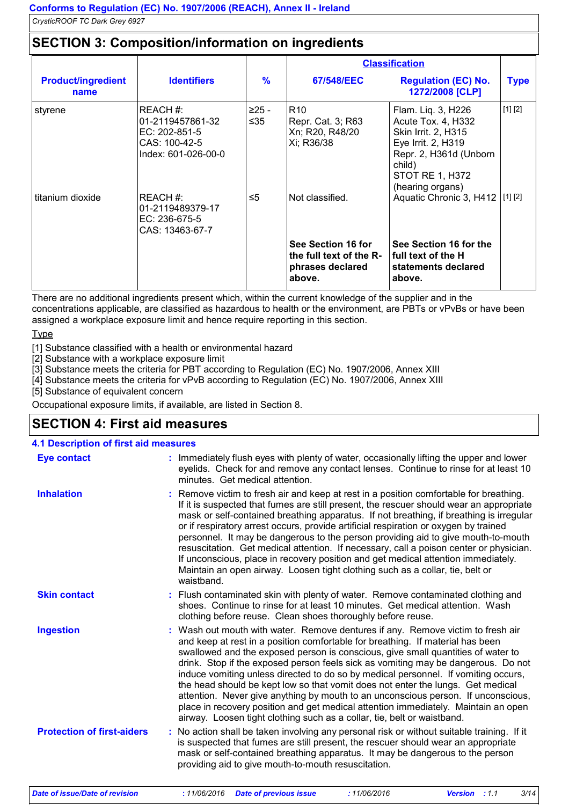### **SECTION 3: Composition/information on ingredients**

|                                   |                                                                                                                           |                               | <b>Classification</b>                                                                    |                                                                                                                                                                                                     |             |
|-----------------------------------|---------------------------------------------------------------------------------------------------------------------------|-------------------------------|------------------------------------------------------------------------------------------|-----------------------------------------------------------------------------------------------------------------------------------------------------------------------------------------------------|-------------|
| <b>Product/ingredient</b><br>name | <b>Identifiers</b>                                                                                                        | $\frac{9}{6}$                 | 67/548/EEC                                                                               | <b>Regulation (EC) No.</b><br>1272/2008 [CLP]                                                                                                                                                       | <b>Type</b> |
| styrene<br>titanium dioxide       | REACH#:<br>01-2119457861-32<br>EC: $202 - 851 - 5$<br>CAS: 100-42-5<br>Index: 601-026-00-0<br>REACH#:<br>01-2119489379-17 | $>25 -$<br>≤ $35$<br>$\leq 5$ | R <sub>10</sub><br>Repr. Cat. 3; R63<br>Xn; R20, R48/20<br>Xi; R36/38<br>Not classified. | Flam. Liq. 3, H226<br>Acute Tox. 4, H332<br>Skin Irrit. 2, H315<br>Eye Irrit. 2, H319<br>Repr. 2, H361d (Unborn<br>child)<br>STOT RE 1, H372<br>(hearing organs)<br>Aquatic Chronic 3, H412 [1] [2] | [1] [2]     |
|                                   | EC: 236-675-5<br>CAS: 13463-67-7                                                                                          |                               |                                                                                          |                                                                                                                                                                                                     |             |
|                                   |                                                                                                                           |                               | See Section 16 for<br>the full text of the R-<br>phrases declared<br>above.              | See Section 16 for the<br>l full text of the H<br>statements declared<br>above.                                                                                                                     |             |

There are no additional ingredients present which, within the current knowledge of the supplier and in the concentrations applicable, are classified as hazardous to health or the environment, are PBTs or vPvBs or have been assigned a workplace exposure limit and hence require reporting in this section.

**Type** 

[1] Substance classified with a health or environmental hazard

[2] Substance with a workplace exposure limit

[3] Substance meets the criteria for PBT according to Regulation (EC) No. 1907/2006, Annex XIII

[4] Substance meets the criteria for vPvB according to Regulation (EC) No. 1907/2006, Annex XIII

[5] Substance of equivalent concern

Occupational exposure limits, if available, are listed in Section 8.

### **SECTION 4: First aid measures**

| <b>4.1 Description of first aid measures</b> |                                                                                                                                                                                                                                                                                                                                                                                                                                                                                                                                                                                                                                                                                                                                                                           |
|----------------------------------------------|---------------------------------------------------------------------------------------------------------------------------------------------------------------------------------------------------------------------------------------------------------------------------------------------------------------------------------------------------------------------------------------------------------------------------------------------------------------------------------------------------------------------------------------------------------------------------------------------------------------------------------------------------------------------------------------------------------------------------------------------------------------------------|
| <b>Eye contact</b>                           | : Immediately flush eyes with plenty of water, occasionally lifting the upper and lower<br>eyelids. Check for and remove any contact lenses. Continue to rinse for at least 10<br>minutes. Get medical attention.                                                                                                                                                                                                                                                                                                                                                                                                                                                                                                                                                         |
| <b>Inhalation</b>                            | : Remove victim to fresh air and keep at rest in a position comfortable for breathing.<br>If it is suspected that fumes are still present, the rescuer should wear an appropriate<br>mask or self-contained breathing apparatus. If not breathing, if breathing is irregular<br>or if respiratory arrest occurs, provide artificial respiration or oxygen by trained<br>personnel. It may be dangerous to the person providing aid to give mouth-to-mouth<br>resuscitation. Get medical attention. If necessary, call a poison center or physician.<br>If unconscious, place in recovery position and get medical attention immediately.<br>Maintain an open airway. Loosen tight clothing such as a collar, tie, belt or<br>waistband.                                   |
| <b>Skin contact</b>                          | : Flush contaminated skin with plenty of water. Remove contaminated clothing and<br>shoes. Continue to rinse for at least 10 minutes. Get medical attention. Wash<br>clothing before reuse. Clean shoes thoroughly before reuse.                                                                                                                                                                                                                                                                                                                                                                                                                                                                                                                                          |
| <b>Ingestion</b>                             | : Wash out mouth with water. Remove dentures if any. Remove victim to fresh air<br>and keep at rest in a position comfortable for breathing. If material has been<br>swallowed and the exposed person is conscious, give small quantities of water to<br>drink. Stop if the exposed person feels sick as vomiting may be dangerous. Do not<br>induce vomiting unless directed to do so by medical personnel. If vomiting occurs,<br>the head should be kept low so that vomit does not enter the lungs. Get medical<br>attention. Never give anything by mouth to an unconscious person. If unconscious,<br>place in recovery position and get medical attention immediately. Maintain an open<br>airway. Loosen tight clothing such as a collar, tie, belt or waistband. |
| <b>Protection of first-aiders</b>            | : No action shall be taken involving any personal risk or without suitable training. If it<br>is suspected that fumes are still present, the rescuer should wear an appropriate<br>mask or self-contained breathing apparatus. It may be dangerous to the person<br>providing aid to give mouth-to-mouth resuscitation.                                                                                                                                                                                                                                                                                                                                                                                                                                                   |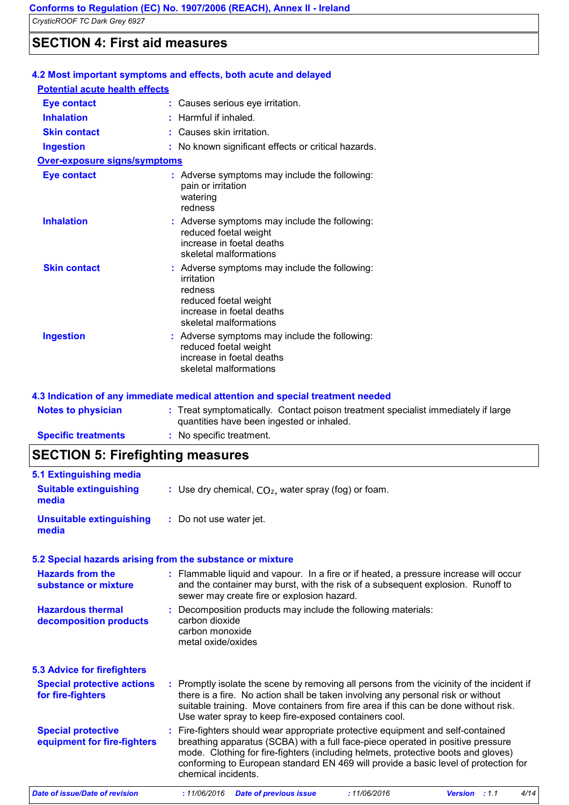### **SECTION 4: First aid measures**

| 4.2 Most important symptoms and effects, both acute and delayed |  |                                                                                                                                                        |  |  |
|-----------------------------------------------------------------|--|--------------------------------------------------------------------------------------------------------------------------------------------------------|--|--|
| <b>Potential acute health effects</b>                           |  |                                                                                                                                                        |  |  |
| <b>Eye contact</b>                                              |  | : Causes serious eye irritation.                                                                                                                       |  |  |
| <b>Inhalation</b>                                               |  | $:$ Harmful if inhaled.                                                                                                                                |  |  |
| <b>Skin contact</b>                                             |  | : Causes skin irritation.                                                                                                                              |  |  |
| <b>Ingestion</b>                                                |  | : No known significant effects or critical hazards.                                                                                                    |  |  |
| Over-exposure signs/symptoms                                    |  |                                                                                                                                                        |  |  |
| <b>Eye contact</b>                                              |  | : Adverse symptoms may include the following:<br>pain or irritation<br>watering<br>redness                                                             |  |  |
| <b>Inhalation</b>                                               |  | : Adverse symptoms may include the following:<br>reduced foetal weight<br>increase in foetal deaths<br>skeletal malformations                          |  |  |
| <b>Skin contact</b>                                             |  | : Adverse symptoms may include the following:<br>irritation<br>redness<br>reduced foetal weight<br>increase in foetal deaths<br>skeletal malformations |  |  |
| <b>Ingestion</b>                                                |  | : Adverse symptoms may include the following:<br>reduced foetal weight<br>increase in foetal deaths<br>skeletal malformations                          |  |  |

### **4.3 Indication of any immediate medical attention and special treatment needed**

| <b>Notes to physician</b>  | : Treat symptomatically. Contact poison treatment specialist immediately if large<br>quantities have been ingested or inhaled. |
|----------------------------|--------------------------------------------------------------------------------------------------------------------------------|
| <b>Specific treatments</b> | : No specific treatment.                                                                                                       |

## **SECTION 5: Firefighting measures**

| 5.1 Extinguishing media                                  |                                                                                                                                                                                                                                                                                                                                                                       |
|----------------------------------------------------------|-----------------------------------------------------------------------------------------------------------------------------------------------------------------------------------------------------------------------------------------------------------------------------------------------------------------------------------------------------------------------|
| <b>Suitable extinguishing</b><br>media                   | : Use dry chemical, $CO2$ , water spray (fog) or foam.                                                                                                                                                                                                                                                                                                                |
| <b>Unsuitable extinguishing</b><br>media                 | : Do not use water jet.                                                                                                                                                                                                                                                                                                                                               |
|                                                          | 5.2 Special hazards arising from the substance or mixture                                                                                                                                                                                                                                                                                                             |
| <b>Hazards from the</b><br>substance or mixture          | : Flammable liquid and vapour. In a fire or if heated, a pressure increase will occur<br>and the container may burst, with the risk of a subsequent explosion. Runoff to<br>sewer may create fire or explosion hazard.                                                                                                                                                |
| <b>Hazardous thermal</b><br>decomposition products       | : Decomposition products may include the following materials:<br>carbon dioxide<br>carbon monoxide<br>metal oxide/oxides                                                                                                                                                                                                                                              |
| <b>5.3 Advice for firefighters</b>                       |                                                                                                                                                                                                                                                                                                                                                                       |
| <b>Special protective actions</b><br>for fire-fighters   | : Promptly isolate the scene by removing all persons from the vicinity of the incident if<br>there is a fire. No action shall be taken involving any personal risk or without<br>suitable training. Move containers from fire area if this can be done without risk.<br>Use water spray to keep fire-exposed containers cool.                                         |
| <b>Special protective</b><br>equipment for fire-fighters | : Fire-fighters should wear appropriate protective equipment and self-contained<br>breathing apparatus (SCBA) with a full face-piece operated in positive pressure<br>mode. Clothing for fire-fighters (including helmets, protective boots and gloves)<br>conforming to European standard EN 469 will provide a basic level of protection for<br>chemical incidents. |
| <b>Date of issue/Date of revision</b>                    | :11/06/2016<br>4/14<br>: 11/06/2016<br><b>Date of previous issue</b><br>Version : 1.1                                                                                                                                                                                                                                                                                 |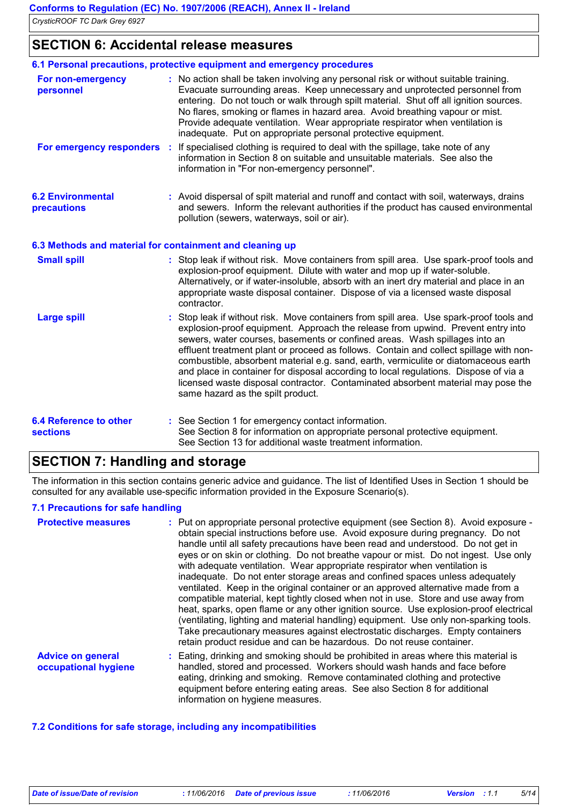**SECTION 6: Accidental release measures**

|                                                  | 6.1 Personal precautions, protective equipment and emergency procedures                                                                                                                                                                                                                                                                                                                                                                                                                                                                                                                                                                                  |
|--------------------------------------------------|----------------------------------------------------------------------------------------------------------------------------------------------------------------------------------------------------------------------------------------------------------------------------------------------------------------------------------------------------------------------------------------------------------------------------------------------------------------------------------------------------------------------------------------------------------------------------------------------------------------------------------------------------------|
| For non-emergency<br>personnel                   | : No action shall be taken involving any personal risk or without suitable training.<br>Evacuate surrounding areas. Keep unnecessary and unprotected personnel from<br>entering. Do not touch or walk through spilt material. Shut off all ignition sources.<br>No flares, smoking or flames in hazard area. Avoid breathing vapour or mist.<br>Provide adequate ventilation. Wear appropriate respirator when ventilation is<br>inadequate. Put on appropriate personal protective equipment.                                                                                                                                                           |
| For emergency responders :                       | If specialised clothing is required to deal with the spillage, take note of any<br>information in Section 8 on suitable and unsuitable materials. See also the<br>information in "For non-emergency personnel".                                                                                                                                                                                                                                                                                                                                                                                                                                          |
| <b>6.2 Environmental</b><br>precautions          | : Avoid dispersal of spilt material and runoff and contact with soil, waterways, drains<br>and sewers. Inform the relevant authorities if the product has caused environmental<br>pollution (sewers, waterways, soil or air).                                                                                                                                                                                                                                                                                                                                                                                                                            |
|                                                  | 6.3 Methods and material for containment and cleaning up                                                                                                                                                                                                                                                                                                                                                                                                                                                                                                                                                                                                 |
| <b>Small spill</b>                               | : Stop leak if without risk. Move containers from spill area. Use spark-proof tools and<br>explosion-proof equipment. Dilute with water and mop up if water-soluble.<br>Alternatively, or if water-insoluble, absorb with an inert dry material and place in an<br>appropriate waste disposal container. Dispose of via a licensed waste disposal<br>contractor.                                                                                                                                                                                                                                                                                         |
| <b>Large spill</b>                               | Stop leak if without risk. Move containers from spill area. Use spark-proof tools and<br>explosion-proof equipment. Approach the release from upwind. Prevent entry into<br>sewers, water courses, basements or confined areas. Wash spillages into an<br>effluent treatment plant or proceed as follows. Contain and collect spillage with non-<br>combustible, absorbent material e.g. sand, earth, vermiculite or diatomaceous earth<br>and place in container for disposal according to local regulations. Dispose of via a<br>licensed waste disposal contractor. Contaminated absorbent material may pose the<br>same hazard as the spilt product. |
| <b>6.4 Reference to other</b><br><b>sections</b> | : See Section 1 for emergency contact information.<br>See Section 8 for information on appropriate personal protective equipment.<br>See Section 13 for additional waste treatment information.                                                                                                                                                                                                                                                                                                                                                                                                                                                          |

### **SECTION 7: Handling and storage**

The information in this section contains generic advice and guidance. The list of Identified Uses in Section 1 should be consulted for any available use-specific information provided in the Exposure Scenario(s).

### **7.1 Precautions for safe handling**

| <b>Protective measures</b>                       | : Put on appropriate personal protective equipment (see Section 8). Avoid exposure -<br>obtain special instructions before use. Avoid exposure during pregnancy. Do not<br>handle until all safety precautions have been read and understood. Do not get in<br>eyes or on skin or clothing. Do not breathe vapour or mist. Do not ingest. Use only<br>with adequate ventilation. Wear appropriate respirator when ventilation is<br>inadequate. Do not enter storage areas and confined spaces unless adequately<br>ventilated. Keep in the original container or an approved alternative made from a<br>compatible material, kept tightly closed when not in use. Store and use away from<br>heat, sparks, open flame or any other ignition source. Use explosion-proof electrical<br>(ventilating, lighting and material handling) equipment. Use only non-sparking tools.<br>Take precautionary measures against electrostatic discharges. Empty containers<br>retain product residue and can be hazardous. Do not reuse container. |
|--------------------------------------------------|----------------------------------------------------------------------------------------------------------------------------------------------------------------------------------------------------------------------------------------------------------------------------------------------------------------------------------------------------------------------------------------------------------------------------------------------------------------------------------------------------------------------------------------------------------------------------------------------------------------------------------------------------------------------------------------------------------------------------------------------------------------------------------------------------------------------------------------------------------------------------------------------------------------------------------------------------------------------------------------------------------------------------------------|
| <b>Advice on general</b><br>occupational hygiene | Eating, drinking and smoking should be prohibited in areas where this material is<br>handled, stored and processed. Workers should wash hands and face before<br>eating, drinking and smoking. Remove contaminated clothing and protective<br>equipment before entering eating areas. See also Section 8 for additional<br>information on hygiene measures.                                                                                                                                                                                                                                                                                                                                                                                                                                                                                                                                                                                                                                                                            |

### **7.2 Conditions for safe storage, including any incompatibilities**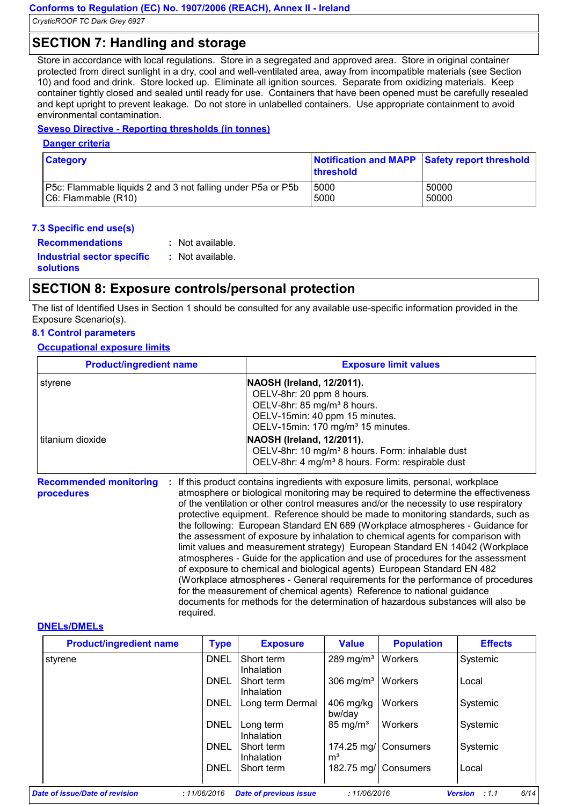### **SECTION 7: Handling and storage**

Store in accordance with local regulations. Store in a segregated and approved area. Store in original container protected from direct sunlight in a dry, cool and well-ventilated area, away from incompatible materials (see Section 10) and food and drink. Store locked up. Eliminate all ignition sources. Separate from oxidizing materials. Keep container tightly closed and sealed until ready for use. Containers that have been opened must be carefully resealed and kept upright to prevent leakage. Do not store in unlabelled containers. Use appropriate containment to avoid environmental contamination.

#### **Seveso Directive - Reporting thresholds (in tonnes)**

#### **Danger criteria**

| <b>Category</b>                                             | threshold | Notification and MAPP Safety report threshold |
|-------------------------------------------------------------|-----------|-----------------------------------------------|
| P5c: Flammable liquids 2 and 3 not falling under P5a or P5b | 5000      | 50000                                         |
| $ C6:$ Flammable $(R10)$                                    | 5000      | 50000                                         |

#### **7.3 Specific end use(s)**

**Recommendations : Industrial sector specific : solutions** : Not available. : Not available.

### **SECTION 8: Exposure controls/personal protection**

The list of Identified Uses in Section 1 should be consulted for any available use-specific information provided in the Exposure Scenario(s).

### **8.1 Control parameters**

**Occupational exposure limits**

| <b>Product/ingredient name</b>                    | <b>Exposure limit values</b>                                                                                                                                                                                                                                 |  |  |
|---------------------------------------------------|--------------------------------------------------------------------------------------------------------------------------------------------------------------------------------------------------------------------------------------------------------------|--|--|
| styrene                                           | NAOSH (Ireland, 12/2011).                                                                                                                                                                                                                                    |  |  |
|                                                   | OELV-8hr: 20 ppm 8 hours.                                                                                                                                                                                                                                    |  |  |
|                                                   | OELV-8hr: 85 mg/m <sup>3</sup> 8 hours.                                                                                                                                                                                                                      |  |  |
|                                                   | OELV-15min: 40 ppm 15 minutes.                                                                                                                                                                                                                               |  |  |
|                                                   | OELV-15min: 170 mg/m <sup>3</sup> 15 minutes.                                                                                                                                                                                                                |  |  |
| l titanium dioxide                                | NAOSH (Ireland, 12/2011).                                                                                                                                                                                                                                    |  |  |
|                                                   | OELV-8hr: 10 mg/m <sup>3</sup> 8 hours. Form: inhalable dust                                                                                                                                                                                                 |  |  |
|                                                   | OELV-8hr: 4 mg/m <sup>3</sup> 8 hours. Form: respirable dust                                                                                                                                                                                                 |  |  |
| <b>Recommended monitoring</b><br>л.<br>procedures | If this product contains ingredients with exposure limits, personal, workplace<br>atmosphere or biological monitoring may be required to determine the effectiveness<br>of the ventilation or other control measures and/or the necessity to use respiratory |  |  |

of the ventilation or other control measures and/or the nece protective equipment. Reference should be made to monitoring standards, such as the following: European Standard EN 689 (Workplace atmospheres - Guidance for the assessment of exposure by inhalation to chemical agents for comparison with limit values and measurement strategy) European Standard EN 14042 (Workplace atmospheres - Guide for the application and use of procedures for the assessment of exposure to chemical and biological agents) European Standard EN 482 (Workplace atmospheres - General requirements for the performance of procedures for the measurement of chemical agents) Reference to national guidance documents for methods for the determination of hazardous substances will also be required.

#### **DNELs/DMELs**

| <b>Product/ingredient name</b> | <b>Type</b> | <b>Exposure</b>               | <b>Value</b>                    | <b>Population</b>    | <b>Effects</b>                  |
|--------------------------------|-------------|-------------------------------|---------------------------------|----------------------|---------------------------------|
| styrene                        | <b>DNEL</b> | Short term<br>Inhalation      | 289 mg/m <sup>3</sup>   Workers |                      | Systemic                        |
|                                | DNEL        | Short term<br>Inhalation      | 306 mg/ $m3$                    | <b>Workers</b>       | Local                           |
|                                | <b>DNEL</b> | Long term Dermal              | $406$ mg/kg<br>bw/day           | <b>Workers</b>       | Systemic                        |
|                                | <b>DNEL</b> | Long term<br>Inhalation       | $85 \text{ mg/m}^3$             | <b>Workers</b>       | Systemic                        |
|                                | <b>DNEL</b> | Short term<br>Inhalation      | m <sup>3</sup>                  | 174.25 mg/ Consumers | Systemic                        |
|                                | DNEL        | Short term                    |                                 | 182.75 mg/ Consumers | Local                           |
| Date of issue/Date of revision | :11/06/2016 | <b>Date of previous issue</b> | :11/06/2016                     |                      | 6/14<br><b>Version</b><br>: 1.1 |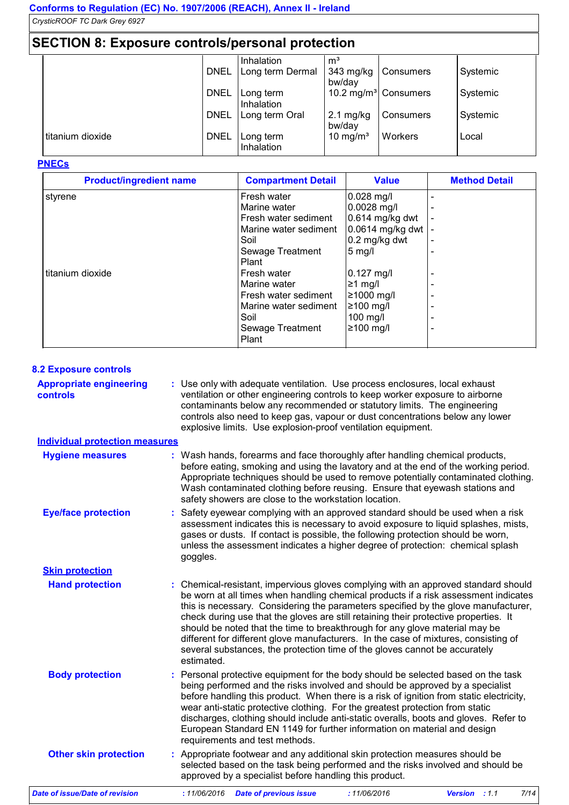### **SECTION 8: Exposure controls/personal protection**

| $\overline{\phantom{a}}$ . The contract contract $\overline{\phantom{a}}$ and $\overline{\phantom{a}}$ and $\overline{\phantom{a}}$ |             |                  |                      |                                  |          |  |
|-------------------------------------------------------------------------------------------------------------------------------------|-------------|------------------|----------------------|----------------------------------|----------|--|
|                                                                                                                                     |             | Inhalation       | m <sup>3</sup>       |                                  |          |  |
|                                                                                                                                     | <b>DNEL</b> | Long term Dermal | 343 mg/kg            | Consumers                        | Systemic |  |
|                                                                                                                                     |             |                  | bw/day               |                                  |          |  |
|                                                                                                                                     | <b>DNEL</b> | Long term        |                      | 10.2 mg/m <sup>3</sup> Consumers | Systemic |  |
|                                                                                                                                     |             | Inhalation       |                      |                                  |          |  |
|                                                                                                                                     | <b>DNEL</b> | Long term Oral   | $2.1 \text{ mg/kg}$  | Consumers                        | Systemic |  |
|                                                                                                                                     |             |                  | bw/day               |                                  |          |  |
| titanium dioxide                                                                                                                    | <b>DNEL</b> | Long term        | 10 mg/m <sup>3</sup> | Workers                          | Local    |  |
|                                                                                                                                     |             | Inhalation       |                      |                                  |          |  |

#### **PNECs**

| <b>Product/ingredient name</b> | <b>Compartment Detail</b>                                                                                                  | <b>Value</b>                                                                                                  | <b>Method Detail</b> |
|--------------------------------|----------------------------------------------------------------------------------------------------------------------------|---------------------------------------------------------------------------------------------------------------|----------------------|
| styrene                        | Fresh water<br>Marine water<br>Fresh water sediment<br>Marine water sediment<br>Soil<br>Sewage Treatment                   | $0.028$ mg/l<br>$0.0028$ mg/l<br>$0.614$ mg/kg dwt<br>0.0614 mg/kg dwt<br>$0.2$ mg/kg dwt<br>$5 \text{ mg/l}$ |                      |
| titanium dioxide               | Plant<br>Fresh water<br>Marine water<br>Fresh water sediment<br>Marine water sediment<br>Soil<br>Sewage Treatment<br>Plant | $0.127$ mg/l<br>$≥1$ mg/l<br>≥1000 mg/l<br>≥100 mg/l<br>$100$ mg/l<br> ≥100 mg/l                              |                      |

#### **8.2 Exposure controls**

**Appropriate engineering controls :** Use only with adequate ventilation. Use process enclosures, local exhaust ventilation or other engineering controls to keep worker exposure to airborne contaminants below any recommended or statutory limits. The engineering controls also need to keep gas, vapour or dust concentrations below any lower explosive limits. Use explosion-proof ventilation equipment.

#### **Individual protection measures**

| <b>Hygiene measures</b>        | : Wash hands, forearms and face thoroughly after handling chemical products,<br>before eating, smoking and using the lavatory and at the end of the working period.<br>Appropriate techniques should be used to remove potentially contaminated clothing.<br>Wash contaminated clothing before reusing. Ensure that eyewash stations and<br>safety showers are close to the workstation location.                                                                                                                                                                                                                         |
|--------------------------------|---------------------------------------------------------------------------------------------------------------------------------------------------------------------------------------------------------------------------------------------------------------------------------------------------------------------------------------------------------------------------------------------------------------------------------------------------------------------------------------------------------------------------------------------------------------------------------------------------------------------------|
| <b>Eye/face protection</b>     | : Safety eyewear complying with an approved standard should be used when a risk<br>assessment indicates this is necessary to avoid exposure to liquid splashes, mists,<br>gases or dusts. If contact is possible, the following protection should be worn,<br>unless the assessment indicates a higher degree of protection: chemical splash<br>goggles.                                                                                                                                                                                                                                                                  |
| <b>Skin protection</b>         |                                                                                                                                                                                                                                                                                                                                                                                                                                                                                                                                                                                                                           |
| <b>Hand protection</b>         | : Chemical-resistant, impervious gloves complying with an approved standard should<br>be worn at all times when handling chemical products if a risk assessment indicates<br>this is necessary. Considering the parameters specified by the glove manufacturer,<br>check during use that the gloves are still retaining their protective properties. It<br>should be noted that the time to breakthrough for any glove material may be<br>different for different glove manufacturers. In the case of mixtures, consisting of<br>several substances, the protection time of the gloves cannot be accurately<br>estimated. |
| <b>Body protection</b>         | : Personal protective equipment for the body should be selected based on the task<br>being performed and the risks involved and should be approved by a specialist<br>before handling this product. When there is a risk of ignition from static electricity,<br>wear anti-static protective clothing. For the greatest protection from static<br>discharges, clothing should include anti-static overalls, boots and gloves. Refer to<br>European Standard EN 1149 for further information on material and design<br>requirements and test methods.                                                                      |
| <b>Other skin protection</b>   | : Appropriate footwear and any additional skin protection measures should be<br>selected based on the task being performed and the risks involved and should be<br>approved by a specialist before handling this product.                                                                                                                                                                                                                                                                                                                                                                                                 |
| Date of issue/Date of revision | :11/06/2016<br>7/14<br>: 11/06/2016<br><b>Date of previous issue</b><br><b>Version</b><br>: 1.1                                                                                                                                                                                                                                                                                                                                                                                                                                                                                                                           |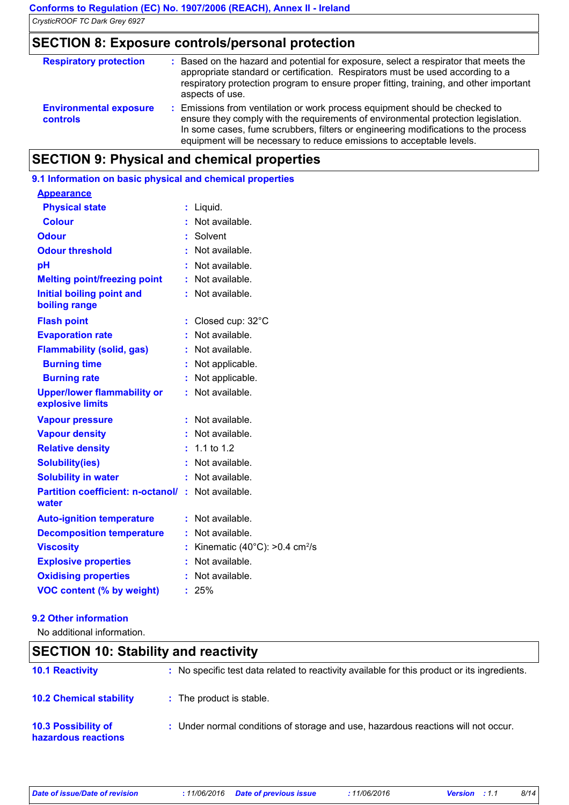### **SECTION 8: Exposure controls/personal protection**

| <b>Respiratory protection</b>                    | : Based on the hazard and potential for exposure, select a respirator that meets the<br>appropriate standard or certification. Respirators must be used according to a<br>respiratory protection program to ensure proper fitting, training, and other important<br>aspects of use.                                             |
|--------------------------------------------------|---------------------------------------------------------------------------------------------------------------------------------------------------------------------------------------------------------------------------------------------------------------------------------------------------------------------------------|
| <b>Environmental exposure</b><br><b>controls</b> | : Emissions from ventilation or work process equipment should be checked to<br>ensure they comply with the requirements of environmental protection legislation.<br>In some cases, fume scrubbers, filters or engineering modifications to the process<br>equipment will be necessary to reduce emissions to acceptable levels. |

### **SECTION 9: Physical and chemical properties**

| 9.1 Information on basic physical and chemical properties |    |                                                     |
|-----------------------------------------------------------|----|-----------------------------------------------------|
| <b>Appearance</b>                                         |    |                                                     |
| <b>Physical state</b>                                     | t, | Liquid.                                             |
| <b>Colour</b>                                             |    | Not available.                                      |
| <b>Odour</b>                                              |    | Solvent                                             |
| <b>Odour threshold</b>                                    |    | Not available.                                      |
| рH                                                        |    | Not available.                                      |
| <b>Melting point/freezing point</b>                       |    | : Not available.                                    |
| <b>Initial boiling point and</b><br>boiling range         |    | : Not available.                                    |
| <b>Flash point</b>                                        | t  | Closed cup: 32°C                                    |
| <b>Evaporation rate</b>                                   |    | : Not available.                                    |
| <b>Flammability (solid, gas)</b>                          |    | Not available.                                      |
| <b>Burning time</b>                                       |    | Not applicable.                                     |
| <b>Burning rate</b>                                       | t  | Not applicable.                                     |
| <b>Upper/lower flammability or</b><br>explosive limits    |    | : Not available.                                    |
| <b>Vapour pressure</b>                                    |    | Not available.                                      |
| <b>Vapour density</b>                                     |    | Not available.                                      |
| <b>Relative density</b>                                   |    | 1.1 to 1.2                                          |
| <b>Solubility(ies)</b>                                    |    | Not available.                                      |
| <b>Solubility in water</b>                                | t  | Not available.                                      |
| <b>Partition coefficient: n-octanol/:</b><br>water        |    | Not available.                                      |
| <b>Auto-ignition temperature</b>                          |    | $:$ Not available.                                  |
| <b>Decomposition temperature</b>                          |    | : Not available.                                    |
| <b>Viscosity</b>                                          |    | Kinematic $(40^{\circ}$ C): >0.4 cm <sup>2</sup> /s |
| <b>Explosive properties</b>                               |    | Not available.                                      |
| <b>Oxidising properties</b>                               |    | Not available.                                      |
| <b>VOC content (% by weight)</b>                          | ř. | 25%                                                 |

#### **9.2 Other information**

No additional information.

### **SECTION 10: Stability and reactivity**

| <b>10.1 Reactivity</b>                            | : No specific test data related to reactivity available for this product or its ingredients. |
|---------------------------------------------------|----------------------------------------------------------------------------------------------|
| <b>10.2 Chemical stability</b>                    | : The product is stable.                                                                     |
| <b>10.3 Possibility of</b><br>hazardous reactions | : Under normal conditions of storage and use, hazardous reactions will not occur.            |

| Date of issue/Date of revision |  |
|--------------------------------|--|
|                                |  |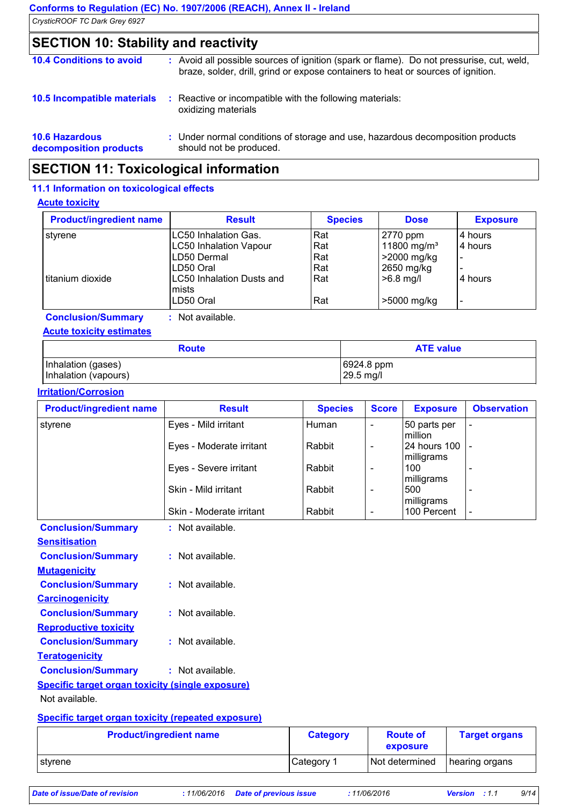| CrysticROOF TC Dark Grey 6927 |  |
|-------------------------------|--|
|-------------------------------|--|

### **SECTION 10: Stability and reactivity**

| <b>10.4 Conditions to avoid</b>                 |    | : Avoid all possible sources of ignition (spark or flame). Do not pressurise, cut, weld,<br>braze, solder, drill, grind or expose containers to heat or sources of ignition. |
|-------------------------------------------------|----|------------------------------------------------------------------------------------------------------------------------------------------------------------------------------|
| 10.5 Incompatible materials                     | ÷. | Reactive or incompatible with the following materials:<br>oxidizing materials                                                                                                |
| <b>10.6 Hazardous</b><br>decomposition products |    | : Under normal conditions of storage and use, hazardous decomposition products<br>should not be produced.                                                                    |

### **SECTION 11: Toxicological information**

### **11.1 Information on toxicological effects**

#### **Acute toxicity**

| <b>Product/ingredient name</b> | <b>Result</b>                             | <b>Species</b> | <b>Dose</b>             | <b>Exposure</b> |
|--------------------------------|-------------------------------------------|----------------|-------------------------|-----------------|
| styrene                        | LC50 Inhalation Gas.                      | l Rat          | 2770 ppm                | 4 hours         |
|                                | <b>LC50 Inhalation Vapour</b>             | Rat            | 11800 mg/m <sup>3</sup> | 4 hours         |
|                                | LD50 Dermal                               | Rat            | >2000 mg/kg             |                 |
|                                | LD50 Oral                                 | Rat            | 2650 mg/kg              |                 |
| Ititanium dioxide              | <b>LC50 Inhalation Dusts and</b><br>mists | Rat            | $>6.8$ mg/l             | 4 hours         |
|                                | LD50 Oral                                 | Rat            | >5000 mg/kg             |                 |

**Conclusion/Summary :** Not available.

### **Acute toxicity estimates**

| <b>Route</b>         | <b>ATE value</b>     |
|----------------------|----------------------|
| Inhalation (gases)   | $ 6924.8$ ppm        |
| Inhalation (vapours) | $ 29.5 \text{ mg}/I$ |

#### **Irritation/Corrosion**

| Eyes - Mild irritant<br>Human<br>50 parts per<br>$\overline{\phantom{0}}$<br>million<br>24 hours 100<br>Eyes - Moderate irritant<br>Rabbit<br>$\overline{\phantom{a}}$<br>milligrams<br>100<br>Eyes - Severe irritant<br>Rabbit<br>$\overline{\phantom{a}}$<br>$\overline{\phantom{a}}$<br>milligrams<br>Skin - Mild irritant<br>500<br>Rabbit<br>$\qquad \qquad \blacksquare$<br>$\overline{\phantom{a}}$<br>milligrams<br>100 Percent<br>Skin - Moderate irritant<br>Rabbit<br>$\overline{\phantom{a}}$<br>$\overline{\phantom{a}}$<br>: Not available.<br>: Not available.<br>: Not available. | styrene                                                 |
|---------------------------------------------------------------------------------------------------------------------------------------------------------------------------------------------------------------------------------------------------------------------------------------------------------------------------------------------------------------------------------------------------------------------------------------------------------------------------------------------------------------------------------------------------------------------------------------------------|---------------------------------------------------------|
|                                                                                                                                                                                                                                                                                                                                                                                                                                                                                                                                                                                                   |                                                         |
|                                                                                                                                                                                                                                                                                                                                                                                                                                                                                                                                                                                                   |                                                         |
|                                                                                                                                                                                                                                                                                                                                                                                                                                                                                                                                                                                                   |                                                         |
|                                                                                                                                                                                                                                                                                                                                                                                                                                                                                                                                                                                                   |                                                         |
|                                                                                                                                                                                                                                                                                                                                                                                                                                                                                                                                                                                                   |                                                         |
|                                                                                                                                                                                                                                                                                                                                                                                                                                                                                                                                                                                                   | <b>Conclusion/Summary</b>                               |
|                                                                                                                                                                                                                                                                                                                                                                                                                                                                                                                                                                                                   | <b>Sensitisation</b>                                    |
|                                                                                                                                                                                                                                                                                                                                                                                                                                                                                                                                                                                                   | <b>Conclusion/Summary</b>                               |
|                                                                                                                                                                                                                                                                                                                                                                                                                                                                                                                                                                                                   | <b>Mutagenicity</b>                                     |
|                                                                                                                                                                                                                                                                                                                                                                                                                                                                                                                                                                                                   | <b>Conclusion/Summary</b>                               |
|                                                                                                                                                                                                                                                                                                                                                                                                                                                                                                                                                                                                   | <b>Carcinogenicity</b>                                  |
| : Not available.                                                                                                                                                                                                                                                                                                                                                                                                                                                                                                                                                                                  | <b>Conclusion/Summary</b>                               |
|                                                                                                                                                                                                                                                                                                                                                                                                                                                                                                                                                                                                   | <b>Reproductive toxicity</b>                            |
| : Not available.                                                                                                                                                                                                                                                                                                                                                                                                                                                                                                                                                                                  | <b>Conclusion/Summary</b>                               |
|                                                                                                                                                                                                                                                                                                                                                                                                                                                                                                                                                                                                   | <b>Teratogenicity</b>                                   |
| : Not available.                                                                                                                                                                                                                                                                                                                                                                                                                                                                                                                                                                                  | <b>Conclusion/Summary</b>                               |
|                                                                                                                                                                                                                                                                                                                                                                                                                                                                                                                                                                                                   | <b>Specific target organ toxicity (single exposure)</b> |
| Not available.                                                                                                                                                                                                                                                                                                                                                                                                                                                                                                                                                                                    |                                                         |

#### **Specific target organ toxicity (repeated exposure)**

| <b>Product/ingredient name</b> | <b>Category</b> | <b>Route of</b><br>exposure | <b>Target organs</b> |
|--------------------------------|-----------------|-----------------------------|----------------------|
| ⊺stvrene                       | Category 1      | Not determined              | hearing organs       |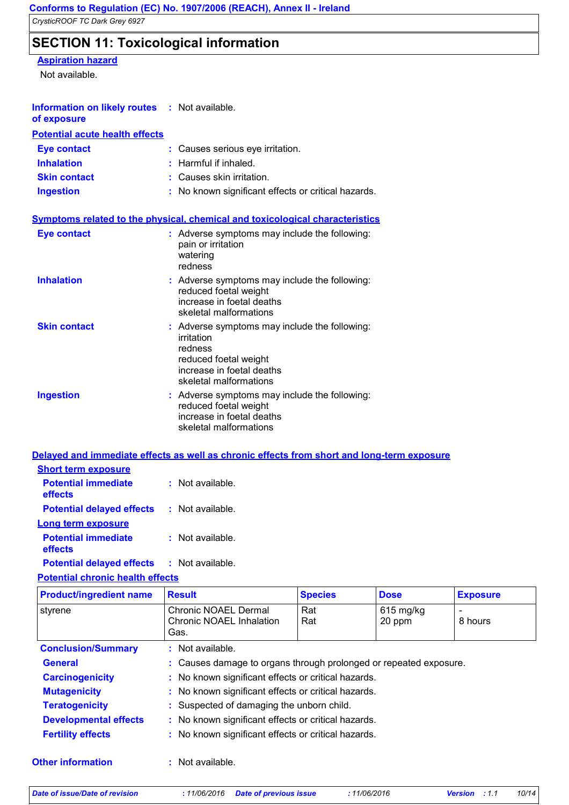### **SECTION 11: Toxicological information**

### **Aspiration hazard**

Not available.

| <b>Information on likely routes : Not available.</b><br>of exposure |                                                                                                                                                        |
|---------------------------------------------------------------------|--------------------------------------------------------------------------------------------------------------------------------------------------------|
| <b>Potential acute health effects</b>                               |                                                                                                                                                        |
| <b>Eye contact</b>                                                  | : Causes serious eye irritation.                                                                                                                       |
| <b>Inhalation</b>                                                   | $:$ Harmful if inhaled.                                                                                                                                |
| <b>Skin contact</b>                                                 | : Causes skin irritation.                                                                                                                              |
| <b>Ingestion</b>                                                    | No known significant effects or critical hazards.                                                                                                      |
|                                                                     | <b>Symptoms related to the physical, chemical and toxicological characteristics</b>                                                                    |
| <b>Eye contact</b>                                                  | : Adverse symptoms may include the following:<br>pain or irritation<br>watering<br>redness                                                             |
| <b>Inhalation</b>                                                   | : Adverse symptoms may include the following:<br>reduced foetal weight<br>increase in foetal deaths<br>skeletal malformations                          |
| <b>Skin contact</b>                                                 | : Adverse symptoms may include the following:<br>irritation<br>redness<br>reduced foetal weight<br>increase in foetal deaths<br>skeletal malformations |
| <b>Ingestion</b>                                                    | : Adverse symptoms may include the following:<br>reduced foetal weight<br>increase in foetal deaths<br>skeletal malformations                          |

### **Delayed and immediate effects as well as chronic effects from short and long-term exposure Short term exposure**

| <u>SHOLL WHILE SAPOGHU</u>                                                    |                    |
|-------------------------------------------------------------------------------|--------------------|
| <b>Potential immediate</b><br>effects                                         | $:$ Not available. |
| <b>Potential delayed effects</b>                                              | : Not available.   |
| Long term exposure                                                            |                    |
| <b>Potential immediate</b><br>effects                                         | $:$ Not available. |
| Phone and all all all accounts a PP a selection of the late account a bit and |                    |

#### **Potential delayed effects :** Not available.

| <b>Product/ingredient name</b> | <b>Result</b>                                                     | <b>Species</b> | <b>Dose</b>           | <b>Exposure</b> |
|--------------------------------|-------------------------------------------------------------------|----------------|-----------------------|-----------------|
| styrene                        | Chronic NOAEL Dermal<br>Chronic NOAEL Inhalation<br>Gas.          | Rat<br>Rat     | $615$ mg/kg<br>20 ppm | 8 hours         |
| <b>Conclusion/Summary</b>      | : Not available.                                                  |                |                       |                 |
| <b>General</b>                 | : Causes damage to organs through prolonged or repeated exposure. |                |                       |                 |
| <b>Carcinogenicity</b>         | : No known significant effects or critical hazards.               |                |                       |                 |
| <b>Mutagenicity</b>            | : No known significant effects or critical hazards.               |                |                       |                 |
| <b>Teratogenicity</b>          | : Suspected of damaging the unborn child.                         |                |                       |                 |
| <b>Developmental effects</b>   | : No known significant effects or critical hazards.               |                |                       |                 |
| <b>Fertility effects</b>       | : No known significant effects or critical hazards.               |                |                       |                 |
| <b>Other information</b>       | : Not available.                                                  |                |                       |                 |

#### **Potential chronic health effects**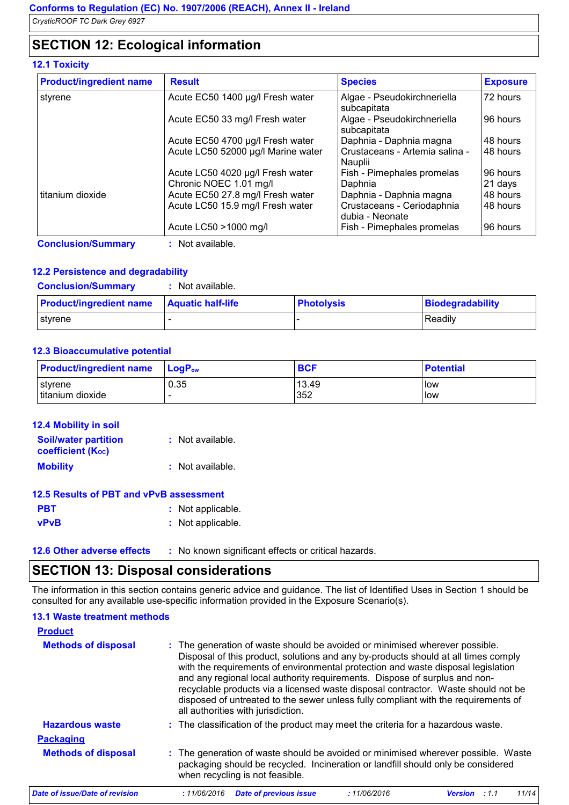### **SECTION 12: Ecological information**

### **12.1 Toxicity**

| <b>Product/ingredient name</b> | <b>Result</b>                      | <b>Species</b>                                | <b>Exposure</b> |
|--------------------------------|------------------------------------|-----------------------------------------------|-----------------|
| styrene                        | Acute EC50 1400 µg/l Fresh water   | Algae - Pseudokirchneriella<br>subcapitata    | 72 hours        |
|                                | Acute EC50 33 mg/l Fresh water     | Algae - Pseudokirchneriella<br>subcapitata    | 96 hours        |
|                                | Acute EC50 4700 µg/l Fresh water   | Daphnia - Daphnia magna                       | 48 hours        |
|                                | Acute LC50 52000 µg/l Marine water | Crustaceans - Artemia salina -<br>Nauplii     | 48 hours        |
|                                | Acute LC50 4020 µg/l Fresh water   | Fish - Pimephales promelas                    | 96 hours        |
|                                | Chronic NOEC 1.01 mg/l             | Daphnia                                       | 21 days         |
| titanium dioxide               | Acute EC50 27.8 mg/l Fresh water   | Daphnia - Daphnia magna                       | 48 hours        |
|                                | Acute LC50 15.9 mg/l Fresh water   | Crustaceans - Ceriodaphnia<br>dubia - Neonate | 48 hours        |
|                                | Acute LC50 > 1000 mg/l             | Fish - Pimephales promelas                    | 96 hours        |
| <b>Conclusion/Summary</b>      | : Not available.                   |                                               |                 |

### **12.2 Persistence and degradability**

| <b>Conclusion/Summary</b>      | Not available.           |                   |                  |
|--------------------------------|--------------------------|-------------------|------------------|
| <b>Product/ingredient name</b> | <b>Aquatic half-life</b> | <b>Photolysis</b> | Biodegradability |
| ⊺stvrene                       |                          |                   | Readily          |

#### **12.3 Bioaccumulative potential**

| <b>Product/ingredient name</b>             | $LoaPow$ | <b>BCF</b>   | <b>Potential</b> |
|--------------------------------------------|----------|--------------|------------------|
| 0.35<br>I styrene<br>titanium dioxide<br>- |          | 13.49<br>352 | low<br>low       |

| <b>12.4 Mobility in soil</b>                            |                  |
|---------------------------------------------------------|------------------|
| <b>Soil/water partition</b><br><b>coefficient (Koc)</b> | : Not available. |
| <b>Mobility</b>                                         | : Not available. |

#### **12.5 Results of PBT and vPvB assessment**

| <b>PBT</b>  | : Not applicable. |
|-------------|-------------------|
| <b>vPvB</b> | : Not applicable. |

**12.6 Other adverse effects** : No known significant effects or critical hazards.

### **SECTION 13: Disposal considerations**

The information in this section contains generic advice and guidance. The list of Identified Uses in Section 1 should be consulted for any available use-specific information provided in the Exposure Scenario(s).

| <b>13.1 Waste treatment methods</b> |                                                                                                                                                                                                                                                                                                                                                                                                                                                                                                                                                      |
|-------------------------------------|------------------------------------------------------------------------------------------------------------------------------------------------------------------------------------------------------------------------------------------------------------------------------------------------------------------------------------------------------------------------------------------------------------------------------------------------------------------------------------------------------------------------------------------------------|
| <b>Product</b>                      |                                                                                                                                                                                                                                                                                                                                                                                                                                                                                                                                                      |
| <b>Methods of disposal</b>          | : The generation of waste should be avoided or minimised wherever possible.<br>Disposal of this product, solutions and any by-products should at all times comply<br>with the requirements of environmental protection and waste disposal legislation<br>and any regional local authority requirements. Dispose of surplus and non-<br>recyclable products via a licensed waste disposal contractor. Waste should not be<br>disposed of untreated to the sewer unless fully compliant with the requirements of<br>all authorities with jurisdiction. |
| <b>Hazardous waste</b>              | : The classification of the product may meet the criteria for a hazardous waste.                                                                                                                                                                                                                                                                                                                                                                                                                                                                     |
| <b>Packaging</b>                    |                                                                                                                                                                                                                                                                                                                                                                                                                                                                                                                                                      |
| <b>Methods of disposal</b>          | : The generation of waste should be avoided or minimised wherever possible. Waste<br>packaging should be recycled. Incineration or landfill should only be considered<br>when recycling is not feasible.                                                                                                                                                                                                                                                                                                                                             |
| Date of issue/Date of revision      | :11/06/2016<br><b>Date of previous issue</b><br>:11/06/2016<br>11/14<br><b>Version</b> : 1.1                                                                                                                                                                                                                                                                                                                                                                                                                                                         |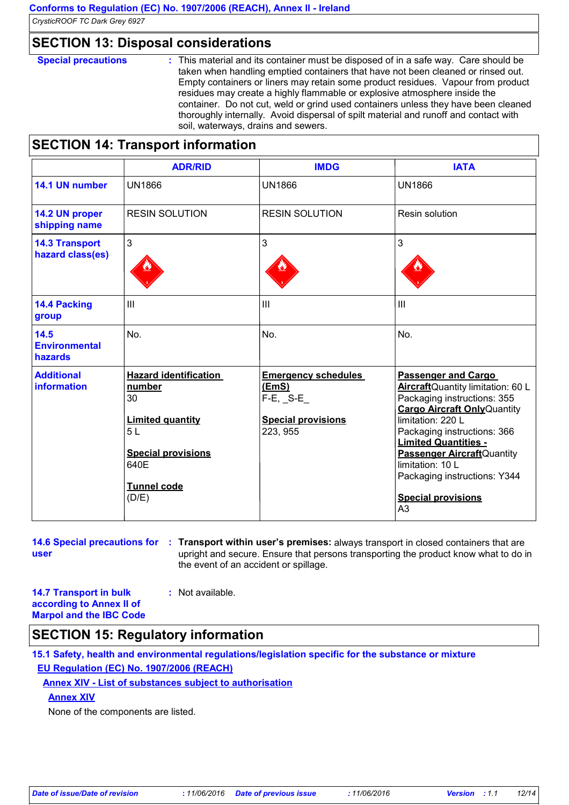### **SECTION 13: Disposal considerations**

**Special precautions :** This material and its container must be disposed of in a safe way. Care should be taken when handling emptied containers that have not been cleaned or rinsed out. Empty containers or liners may retain some product residues. Vapour from product residues may create a highly flammable or explosive atmosphere inside the container. Do not cut, weld or grind used containers unless they have been cleaned thoroughly internally. Avoid dispersal of spilt material and runoff and contact with soil, waterways, drains and sewers.

### **SECTION 14: Transport information**

|                                           | <b>ADR/RID</b>                                                                                                                                    | <b>IMDG</b>                                                                                   | <b>IATA</b>                                                                                                                                                                                                                                                                                                                                                       |
|-------------------------------------------|---------------------------------------------------------------------------------------------------------------------------------------------------|-----------------------------------------------------------------------------------------------|-------------------------------------------------------------------------------------------------------------------------------------------------------------------------------------------------------------------------------------------------------------------------------------------------------------------------------------------------------------------|
| 14.1 UN number                            | <b>UN1866</b>                                                                                                                                     | <b>UN1866</b>                                                                                 | <b>UN1866</b>                                                                                                                                                                                                                                                                                                                                                     |
| 14.2 UN proper<br>shipping name           | <b>RESIN SOLUTION</b>                                                                                                                             | <b>RESIN SOLUTION</b>                                                                         | Resin solution                                                                                                                                                                                                                                                                                                                                                    |
| <b>14.3 Transport</b><br>hazard class(es) | $\mathfrak{S}$                                                                                                                                    | 3                                                                                             | 3                                                                                                                                                                                                                                                                                                                                                                 |
| 14.4 Packing<br>group                     | $\mathbf{III}$                                                                                                                                    | III                                                                                           | III                                                                                                                                                                                                                                                                                                                                                               |
| 14.5<br><b>Environmental</b><br>hazards   | No.                                                                                                                                               | No.                                                                                           | No.                                                                                                                                                                                                                                                                                                                                                               |
| <b>Additional</b><br><b>information</b>   | <b>Hazard identification</b><br>number<br>30<br><b>Limited quantity</b><br>5L<br><b>Special provisions</b><br>640E<br><b>Tunnel code</b><br>(D/E) | <b>Emergency schedules</b><br>(EmS)<br>$F-E$ , $S-E$<br><b>Special provisions</b><br>223, 955 | <b>Passenger and Cargo</b><br>AircraftQuantity limitation: 60 L<br>Packaging instructions: 355<br><b>Cargo Aircraft Only Quantity</b><br>limitation: 220 L<br>Packaging instructions: 366<br><b>Limited Quantities -</b><br><b>Passenger Aircraft</b> Quantity<br>limitation: 10 L<br>Packaging instructions: Y344<br><b>Special provisions</b><br>A <sub>3</sub> |

**14.6 Special precautions for : Transport within user's premises: always transport in closed containers that are user** upright and secure. Ensure that persons transporting the product know what to do in the event of an accident or spillage.

**14.7 Transport in bulk according to Annex II of Marpol and the IBC Code :** Not available.

### **SECTION 15: Regulatory information**

**15.1 Safety, health and environmental regulations/legislation specific for the substance or mixture EU Regulation (EC) No. 1907/2006 (REACH)**

### **Annex XIV - List of substances subject to authorisation**

**Annex XIV**

None of the components are listed.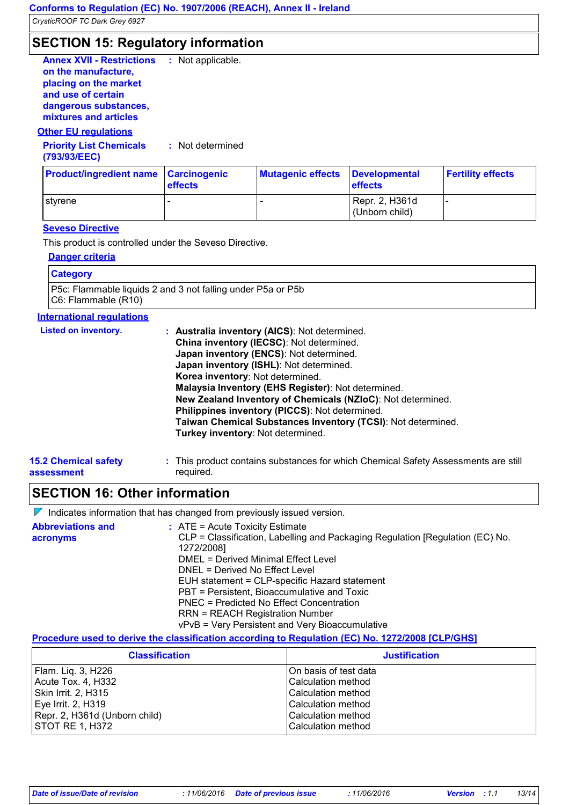### **SECTION 15: Regulatory information**

| <b>Annex XVII - Restrictions</b> | : Not applicable. |
|----------------------------------|-------------------|
| on the manufacture,              |                   |
| placing on the market            |                   |
| and use of certain               |                   |
| dangerous substances,            |                   |
| mixtures and articles            |                   |
| <b>Other EU regulations</b>      |                   |

### **Priority List Chemicals :** Not determined **(793/93/EEC)**

| <b>Product/ingredient name Carcinogenic</b> | <b>effects</b> | <b>Mutagenic effects</b> | Developmental<br><b>effects</b>  | <b>Fertility effects</b> |
|---------------------------------------------|----------------|--------------------------|----------------------------------|--------------------------|
| I stvrene                                   |                |                          | Repr. 2, H361d<br>(Unborn child) |                          |

#### **Seveso Directive**

This product is controlled under the Seveso Directive.

#### **Danger criteria**

| <b>Category</b>                                                                                |  |
|------------------------------------------------------------------------------------------------|--|
| <b>P5c:</b> Flammable liquids 2 and 3 not falling under P5a or P5b<br>$ C6:$ Flammable $(R10)$ |  |

### **International regulations**

| <b>Listed on inventory.</b> | : Australia inventory (AICS): Not determined.                                       |
|-----------------------------|-------------------------------------------------------------------------------------|
|                             | China inventory (IECSC): Not determined.<br>Japan inventory (ENCS): Not determined. |
|                             | Japan inventory (ISHL): Not determined.                                             |
|                             | Korea inventory: Not determined.                                                    |
|                             | Malaysia Inventory (EHS Register): Not determined.                                  |
|                             | New Zealand Inventory of Chemicals (NZIoC): Not determined.                         |
|                             | Philippines inventory (PICCS): Not determined.                                      |
|                             | Taiwan Chemical Substances Inventory (TCSI): Not determined.                        |
|                             | Turkey inventory: Not determined.                                                   |
| 5.2 Chamical eafaty         | . This product contains substances for which Chemical Safety Assessments are still  |

#### **15.2 Chemical safety assessment** This product contains substances for which Chemical Safety Assessments are still **:** required.

### **SECTION 16: Other information**

 $\nabla$  Indicates information that has changed from previously issued version.

| <b>Abbreviations and</b><br>acronyms | $\therefore$ ATE = Acute Toxicity Estimate<br>CLP = Classification, Labelling and Packaging Regulation [Regulation (EC) No.<br>1272/2008] |
|--------------------------------------|-------------------------------------------------------------------------------------------------------------------------------------------|
|                                      | DMEL = Derived Minimal Effect Level                                                                                                       |
|                                      | DNEL = Derived No Effect Level                                                                                                            |
|                                      | EUH statement = CLP-specific Hazard statement                                                                                             |
|                                      | PBT = Persistent, Bioaccumulative and Toxic                                                                                               |
|                                      | PNEC = Predicted No Effect Concentration                                                                                                  |
|                                      | <b>RRN = REACH Registration Number</b>                                                                                                    |
|                                      | vPvB = Very Persistent and Very Bioaccumulative                                                                                           |

### **Procedure used to derive the classification according to Regulation (EC) No. 1272/2008 [CLP/GHS]**

| <b>Classification</b>         | <b>Justification</b>   |
|-------------------------------|------------------------|
| Flam. Liq. 3, H226            | IOn basis of test data |
| Acute Tox. 4, H332            | l Calculation method   |
| Skin Irrit. 2, H315           | l Calculation method   |
| Eye Irrit. 2, H319            | l Calculation method   |
| Repr. 2, H361d (Unborn child) | l Calculation method   |
| STOT RE 1, H372               | Calculation method     |